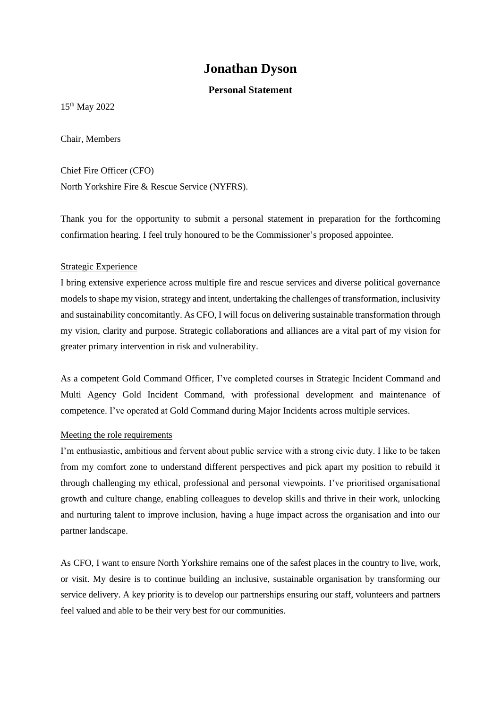# **Jonathan Dyson**

### **Personal Statement**

15 th May 2022

Chair, Members

Chief Fire Officer (CFO) North Yorkshire Fire & Rescue Service (NYFRS).

Thank you for the opportunity to submit a personal statement in preparation for the forthcoming confirmation hearing. I feel truly honoured to be the Commissioner's proposed appointee.

### Strategic Experience

I bring extensive experience across multiple fire and rescue services and diverse political governance models to shape my vision, strategy and intent, undertaking the challenges of transformation, inclusivity and sustainability concomitantly. As CFO, I will focus on delivering sustainable transformation through my vision, clarity and purpose. Strategic collaborations and alliances are a vital part of my vision for greater primary intervention in risk and vulnerability.

As a competent Gold Command Officer, I've completed courses in Strategic Incident Command and Multi Agency Gold Incident Command, with professional development and maintenance of competence. I've operated at Gold Command during Major Incidents across multiple services.

### Meeting the role requirements

I'm enthusiastic, ambitious and fervent about public service with a strong civic duty. I like to be taken from my comfort zone to understand different perspectives and pick apart my position to rebuild it through challenging my ethical, professional and personal viewpoints. I've prioritised organisational growth and culture change, enabling colleagues to develop skills and thrive in their work, unlocking and nurturing talent to improve inclusion, having a huge impact across the organisation and into our partner landscape.

As CFO, I want to ensure North Yorkshire remains one of the safest places in the country to live, work, or visit. My desire is to continue building an inclusive, sustainable organisation by transforming our service delivery. A key priority is to develop our partnerships ensuring our staff, volunteers and partners feel valued and able to be their very best for our communities.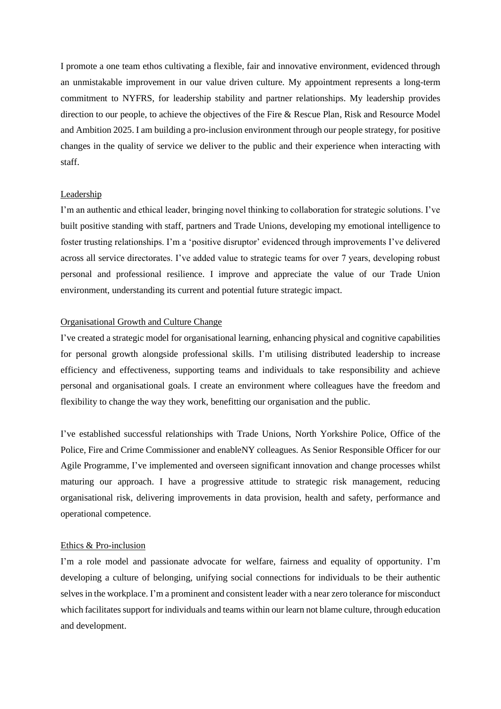I promote a one team ethos cultivating a flexible, fair and innovative environment, evidenced through an unmistakable improvement in our value driven culture. My appointment represents a long-term commitment to NYFRS, for leadership stability and partner relationships. My leadership provides direction to our people, to achieve the objectives of the Fire & Rescue Plan, Risk and Resource Model and Ambition 2025. I am building a pro-inclusion environment through our people strategy, for positive changes in the quality of service we deliver to the public and their experience when interacting with staff.

#### **Leadership**

I'm an authentic and ethical leader, bringing novel thinking to collaboration for strategic solutions. I've built positive standing with staff, partners and Trade Unions, developing my emotional intelligence to foster trusting relationships. I'm a 'positive disruptor' evidenced through improvements I've delivered across all service directorates. I've added value to strategic teams for over 7 years, developing robust personal and professional resilience. I improve and appreciate the value of our Trade Union environment, understanding its current and potential future strategic impact.

#### Organisational Growth and Culture Change

I've created a strategic model for organisational learning, enhancing physical and cognitive capabilities for personal growth alongside professional skills. I'm utilising distributed leadership to increase efficiency and effectiveness, supporting teams and individuals to take responsibility and achieve personal and organisational goals. I create an environment where colleagues have the freedom and flexibility to change the way they work, benefitting our organisation and the public.

I've established successful relationships with Trade Unions, North Yorkshire Police, Office of the Police, Fire and Crime Commissioner and enableNY colleagues. As Senior Responsible Officer for our Agile Programme, I've implemented and overseen significant innovation and change processes whilst maturing our approach. I have a progressive attitude to strategic risk management, reducing organisational risk, delivering improvements in data provision, health and safety, performance and operational competence.

#### Ethics & Pro-inclusion

I'm a role model and passionate advocate for welfare, fairness and equality of opportunity. I'm developing a culture of belonging, unifying social connections for individuals to be their authentic selves in the workplace. I'm a prominent and consistent leader with a near zero tolerance for misconduct which facilitates support for individuals and teams within our learn not blame culture, through education and development.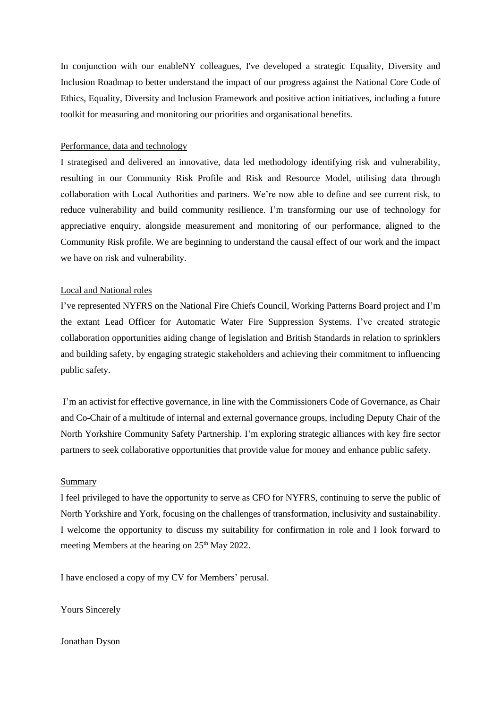In conjunction with our enableNY colleagues, I've developed a strategic Equality, Diversity and Inclusion Roadmap to better understand the impact of our progress against the National Core Code of Ethics, Equality, Diversity and Inclusion Framework and positive action initiatives, including a future toolkit for measuring and monitoring our priorities and organisational benefits.

#### Performance, data and technology

I strategised and delivered an innovative, data led methodology identifying risk and vulnerability, resulting in our Community Risk Profile and Risk and Resource Model, utilising data through collaboration with Local Authorities and partners. We're now able to define and see current risk, to reduce vulnerability and build community resilience. I'm transforming our use of technology for appreciative enquiry, alongside measurement and monitoring of our performance, aligned to the Community Risk profile. We are beginning to understand the causal effect of our work and the impact we have on risk and vulnerability.

#### Local and National roles

I've represented NYFRS on the National Fire Chiefs Council, Working Patterns Board project and I'm the extant Lead Officer for Automatic Water Fire Suppression Systems. I've created strategic collaboration opportunities aiding change of legislation and British Standards in relation to sprinklers and building safety, by engaging strategic stakeholders and achieving their commitment to influencing public safety.

I'm an activist for effective governance, in line with the Commissioners Code of Governance, as Chair and Co-Chair of a multitude of internal and external governance groups, including Deputy Chair of the North Yorkshire Community Safety Partnership. I'm exploring strategic alliances with key fire sector partners to seek collaborative opportunities that provide value for money and enhance public safety.

#### Summary

I feel privileged to have the opportunity to serve as CFO for NYFRS, continuing to serve the public of North Yorkshire and York, focusing on the challenges of transformation, inclusivity and sustainability. I welcome the opportunity to discuss my suitability for confirmation in role and I look forward to meeting Members at the hearing on 25<sup>th</sup> May 2022.

I have enclosed a copy of my CV for Members' perusal.

Yours Sincerely

#### Jonathan Dyson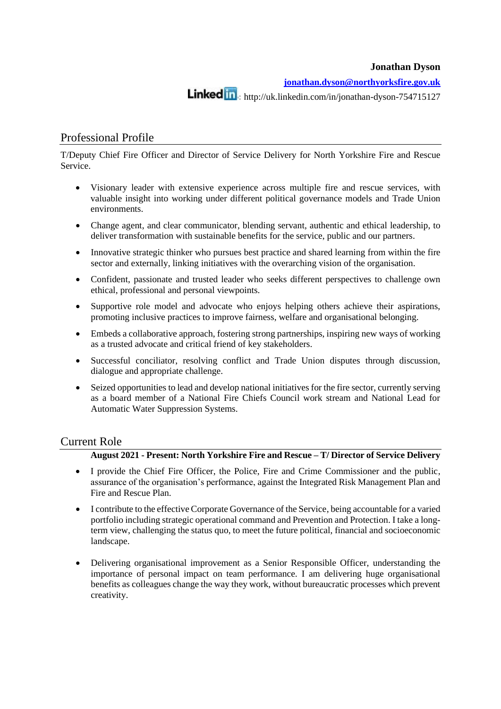**Jonathan Dyson**

**[jonathan.dyson@northyorksfire.gov.uk](mailto:jonathan.dyson@northyorksfire.gov.uk)**

**Linked** in : http://uk.linkedin.com/in/jonathan-dyson-754715127

## Professional Profile

T/Deputy Chief Fire Officer and Director of Service Delivery for North Yorkshire Fire and Rescue Service.

- Visionary leader with extensive experience across multiple fire and rescue services, with valuable insight into working under different political governance models and Trade Union environments.
- Change agent, and clear communicator, blending servant, authentic and ethical leadership, to deliver transformation with sustainable benefits for the service, public and our partners.
- Innovative strategic thinker who pursues best practice and shared learning from within the fire sector and externally, linking initiatives with the overarching vision of the organisation.
- Confident, passionate and trusted leader who seeks different perspectives to challenge own ethical, professional and personal viewpoints.
- Supportive role model and advocate who enjoys helping others achieve their aspirations, promoting inclusive practices to improve fairness, welfare and organisational belonging.
- Embeds a collaborative approach, fostering strong partnerships, inspiring new ways of working as a trusted advocate and critical friend of key stakeholders.
- Successful conciliator, resolving conflict and Trade Union disputes through discussion, dialogue and appropriate challenge.
- Seized opportunities to lead and develop national initiatives for the fire sector, currently serving as a board member of a National Fire Chiefs Council work stream and National Lead for Automatic Water Suppression Systems.

## Current Role

### **August 2021 - Present: North Yorkshire Fire and Rescue – T/ Director of Service Delivery**

- I provide the Chief Fire Officer, the Police, Fire and Crime Commissioner and the public, assurance of the organisation's performance, against the Integrated Risk Management Plan and Fire and Rescue Plan.
- I contribute to the effective Corporate Governance of the Service, being accountable for a varied portfolio including strategic operational command and Prevention and Protection. I take a longterm view, challenging the status quo, to meet the future political, financial and socioeconomic landscape.
- Delivering organisational improvement as a Senior Responsible Officer, understanding the importance of personal impact on team performance. I am delivering huge organisational benefits as colleagues change the way they work, without bureaucratic processes which prevent creativity.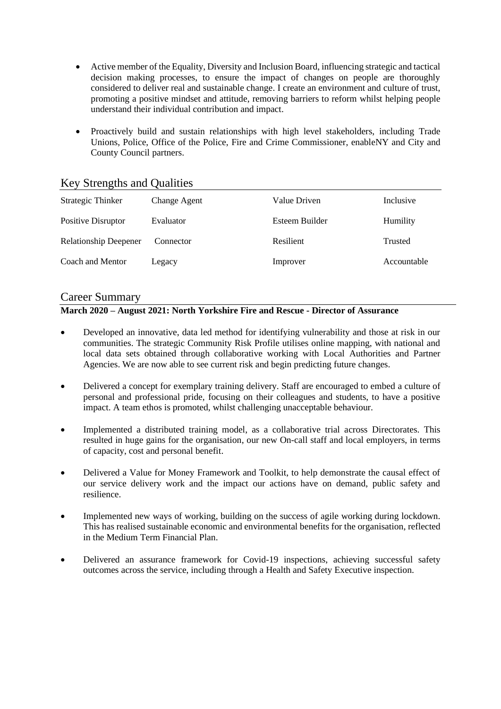- Active member of the Equality, Diversity and Inclusion Board, influencing strategic and tactical decision making processes, to ensure the impact of changes on people are thoroughly considered to deliver real and sustainable change. I create an environment and culture of trust, promoting a positive mindset and attitude, removing barriers to reform whilst helping people understand their individual contribution and impact.
- Proactively build and sustain relationships with high level stakeholders, including Trade Unions, Police, Office of the Police, Fire and Crime Commissioner, enableNY and City and County Council partners.

| <b>Strategic Thinker</b>     | Change Agent | Value Driven   | Inclusive      |
|------------------------------|--------------|----------------|----------------|
| Positive Disruptor           | Evaluator    | Esteem Builder | Humility       |
| <b>Relationship Deepener</b> | Connector    | Resilient      | <b>Trusted</b> |
| Coach and Mentor             | Legacy       | Improver       | Accountable    |

## Key Strengths and Qualities

## Career Summary

### **March 2020 – August 2021: North Yorkshire Fire and Rescue - Director of Assurance**

- Developed an innovative, data led method for identifying vulnerability and those at risk in our communities. The strategic Community Risk Profile utilises online mapping, with national and local data sets obtained through collaborative working with Local Authorities and Partner Agencies. We are now able to see current risk and begin predicting future changes.
- Delivered a concept for exemplary training delivery. Staff are encouraged to embed a culture of personal and professional pride, focusing on their colleagues and students, to have a positive impact. A team ethos is promoted, whilst challenging unacceptable behaviour.
- Implemented a distributed training model, as a collaborative trial across Directorates. This resulted in huge gains for the organisation, our new On-call staff and local employers, in terms of capacity, cost and personal benefit.
- Delivered a Value for Money Framework and Toolkit, to help demonstrate the causal effect of our service delivery work and the impact our actions have on demand, public safety and resilience.
- Implemented new ways of working, building on the success of agile working during lockdown. This has realised sustainable economic and environmental benefits for the organisation, reflected in the Medium Term Financial Plan.
- Delivered an assurance framework for Covid-19 inspections, achieving successful safety outcomes across the service, including through a Health and Safety Executive inspection.